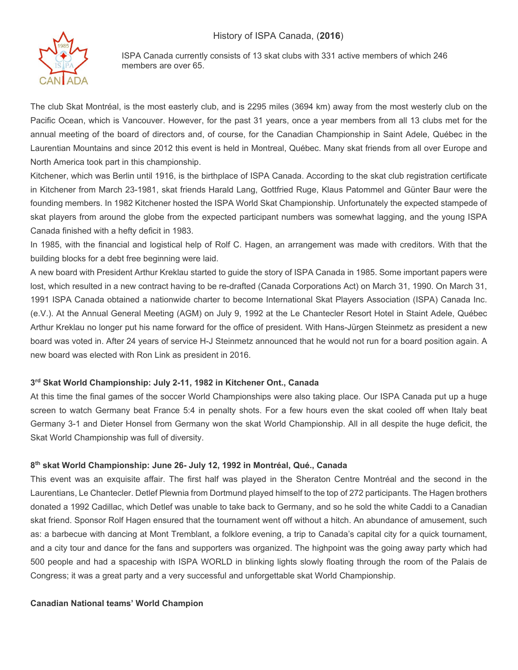# History of ISPA Canada, (**2016**)



ISPA Canada currently consists of 13 skat clubs with 331 active members of which 246 members are over 65.

The club Skat Montréal, is the most easterly club, and is 2295 miles (3694 km) away from the most westerly club on the Pacific Ocean, which is Vancouver. However, for the past 31 years, once a year members from all 13 clubs met for the annual meeting of the board of directors and, of course, for the Canadian Championship in Saint Adele, Québec in the Laurentian Mountains and since 2012 this event is held in Montreal, Québec. Many skat friends from all over Europe and North America took part in this championship.

Kitchener, which was Berlin until 1916, is the birthplace of ISPA Canada. According to the skat club registration certificate in Kitchener from March 23-1981, skat friends Harald Lang, Gottfried Ruge, Klaus Patommel and Günter Baur were the founding members. In 1982 Kitchener hosted the ISPA World Skat Championship. Unfortunately the expected stampede of skat players from around the globe from the expected participant numbers was somewhat lagging, and the young ISPA Canada finished with a hefty deficit in 1983.

In 1985, with the financial and logistical help of Rolf C. Hagen, an arrangement was made with creditors. With that the building blocks for a debt free beginning were laid.

A new board with President Arthur Kreklau started to guide the story of ISPA Canada in 1985. Some important papers were lost, which resulted in a new contract having to be re-drafted (Canada Corporations Act) on March 31, 1990. On March 31, 1991 ISPA Canada obtained a nationwide charter to become International Skat Players Association (ISPA) Canada Inc. (e.V.). At the Annual General Meeting (AGM) on July 9, 1992 at the Le Chantecler Resort Hotel in Staint Adele, Québec Arthur Kreklau no longer put his name forward for the office of president. With Hans-Jürgen Steinmetz as president a new board was voted in. After 24 years of service H-J Steinmetz announced that he would not run for a board position again. A new board was elected with Ron Link as president in 2016.

### **3rd Skat World Championship: July 2-11, 1982 in Kitchener Ont., Canada**

At this time the final games of the soccer World Championships were also taking place. Our ISPA Canada put up a huge screen to watch Germany beat France 5:4 in penalty shots. For a few hours even the skat cooled off when Italy beat Germany 3-1 and Dieter Honsel from Germany won the skat World Championship. All in all despite the huge deficit, the Skat World Championship was full of diversity.

### **8th skat World Championship: June 26- July 12, 1992 in Montréal, Qué., Canada**

This event was an exquisite affair. The first half was played in the Sheraton Centre Montréal and the second in the Laurentians, Le Chantecler. Detlef Plewnia from Dortmund played himself to the top of 272 participants. The Hagen brothers donated a 1992 Cadillac, which Detlef was unable to take back to Germany, and so he sold the white Caddi to a Canadian skat friend. Sponsor Rolf Hagen ensured that the tournament went off without a hitch. An abundance of amusement, such as: a barbecue with dancing at Mont Tremblant, a folklore evening, a trip to Canada's capital city for a quick tournament, and a city tour and dance for the fans and supporters was organized. The highpoint was the going away party which had 500 people and had a spaceship with ISPA WORLD in blinking lights slowly floating through the room of the Palais de Congress; it was a great party and a very successful and unforgettable skat World Championship.

### **Canadian National teams' World Champion**